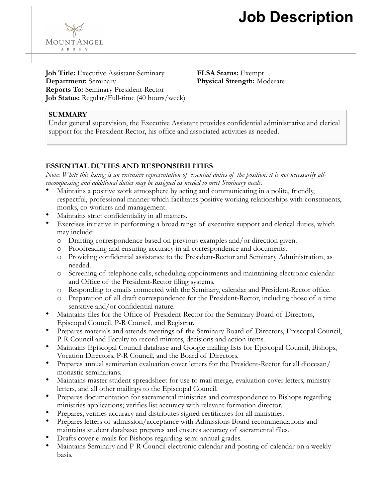## **Job Description**

**Job Title:** Executive Assistant-Seminary **Department:** Seminary **Reports To:** Seminary President-Rector **Job Status:** Regular/Full-time (40 hours/week) **FLSA Status:** Exempt **Physical Strength:** Moderate

#### **SUMMARY**

MOUNTANGEL A B B E Y

Under general supervision, the Executive Assistant provides confidential administrative and clerical support for the President-Rector, his office and associated activities as needed.

#### **ESSENTIAL DUTIES AND RESPONSIBILITIES**

*Note: While this listing is an extensive representation of essential duties of the position, it is not necessarily allencompassing and additional duties may be assigned as needed to meet Seminary needs.*

- Maintains a positive work atmosphere by acting and communicating in a polite, friendly, respectful, professional manner which facilitates positive working relationships with constituents, monks, co-workers and management.
- Maintains strict confidentiality in all matters.
- Exercises initiative in performing a broad range of executive support and clerical duties, which may include:
	- o Drafting correspondence based on previous examples and/or direction given.
	- o Proofreading and ensuring accuracy in all correspondence and documents.
	- o Providing confidential assistance to the President-Rector and Seminary Administration, as needed.
	- o Screening of telephone calls, scheduling appointments and maintaining electronic calendar and Office of the President-Rector filing systems.
	- o Responding to emails connected with the Seminary, calendar and President-Rector office.
	- o Preparation of all draft correspondence for the President-Rector, including those of a time sensitive and/or confidential nature.
- Maintains files for the Office of President-Rector for the Seminary Board of Directors, Episcopal Council, P-R Council, and Registrar.
- Prepares materials and attends meetings of the Seminary Board of Directors, Episcopal Council, P-R Council and Faculty to record minutes, decisions and action items.
- Maintains Episcopal Council database and Google mailing lists for Episcopal Council, Bishops, Vocation Directors, P-R Council, and the Board of Directors.
- Prepares annual seminarian evaluation cover letters for the President-Rector for all diocesan/ monastic seminarians.
- Maintains master student spreadsheet for use to mail merge, evaluation cover letters, ministry letters, and all other mailings to the Episcopal Council.
- Prepares documentation for sacramental ministries and correspondence to Bishops regarding ministries applications; verifies list accuracy with relevant formation director.
- Prepares, verifies accuracy and distributes signed certificates for all ministries.
- Prepares letters of admission/acceptance with Admissions Board recommendations and maintains student database; prepares and ensures accuracy of sacramental files.
- Drafts cover e-mails for Bishops regarding semi-annual grades.
- Maintains Seminary and P-R Council electronic calendar and posting of calendar on a weekly basis.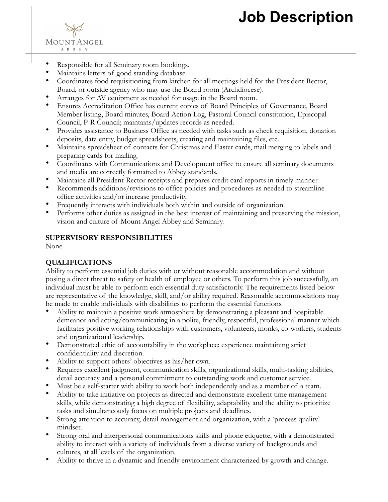# **Job Description**



MOUNTANGEL A B B E Y

- Maintains letters of good standing database.
- Coordinates food requisitioning from kitchen for all meetings held for the President-Rector, Board, or outside agency who may use the Board room (Archdiocese).
- Arranges for AV equipment as needed for usage in the Board room.
- Ensures Accreditation Office has current copies of Board Principles of Governance, Board Member listing, Board minutes, Board Action Log, Pastoral Council constitution, Episcopal Council, P-R Council; maintains/updates records as needed.
- Provides assistance to Business Office as needed with tasks such as check requisition, donation deposits, data entry, budget spreadsheets, creating and maintaining files, etc.
- Maintains spreadsheet of contacts for Christmas and Easter cards, mail merging to labels and preparing cards for mailing.
- Coordinates with Communications and Development office to ensure all seminary documents and media are correctly formatted to Abbey standards.
- Maintains all President-Rector receipts and prepares credit card reports in timely manner.
- Recommends additions/revisions to office policies and procedures as needed to streamline office activities and/or increase productivity.
- Frequently interacts with individuals both within and outside of organization.
- Performs other duties as assigned in the best interest of maintaining and preserving the mission, vision and culture of Mount Angel Abbey and Seminary.

#### **SUPERVISORY RESPONSIBILITIES**

None.

#### **QUALIFICATIONS**

Ability to perform essential job duties with or without reasonable accommodation and without posing a direct threat to safety or health of employee or others. To perform this job successfully, an individual must be able to perform each essential duty satisfactorily. The requirements listed below are representative of the knowledge, skill, and/or ability required. Reasonable accommodations may be made to enable individuals with disabilities to perform the essential functions.

- Ability to maintain a positive work atmosphere by demonstrating a pleasant and hospitable demeanor and acting/communicating in a polite, friendly, respectful, professional manner which facilitates positive working relationships with customers, volunteers, monks, co-workers, students and organizational leadership.
- Demonstrated ethic of accountability in the workplace; experience maintaining strict confidentiality and discretion.
- Ability to support others' objectives as his/her own.
- Requires excellent judgment, communication skills, organizational skills, multi-tasking abilities, detail accuracy and a personal commitment to outstanding work and customer service.
- Must be a self-starter with ability to work both independently and as a member of a team.
- Ability to take initiative on projects as directed and demonstrate excellent time management skills, while demonstrating a high degree of flexibility, adaptability and the ability to prioritize tasks and simultaneously focus on multiple projects and deadlines.
- Strong attention to accuracy, detail management and organization, with a 'process quality' mindset.
- Strong oral and interpersonal communications skills and phone etiquette, with a demonstrated ability to interact with a variety of individuals from a diverse variety of backgrounds and cultures, at all levels of the organization.
- Ability to thrive in a dynamic and friendly environment characterized by growth and change.